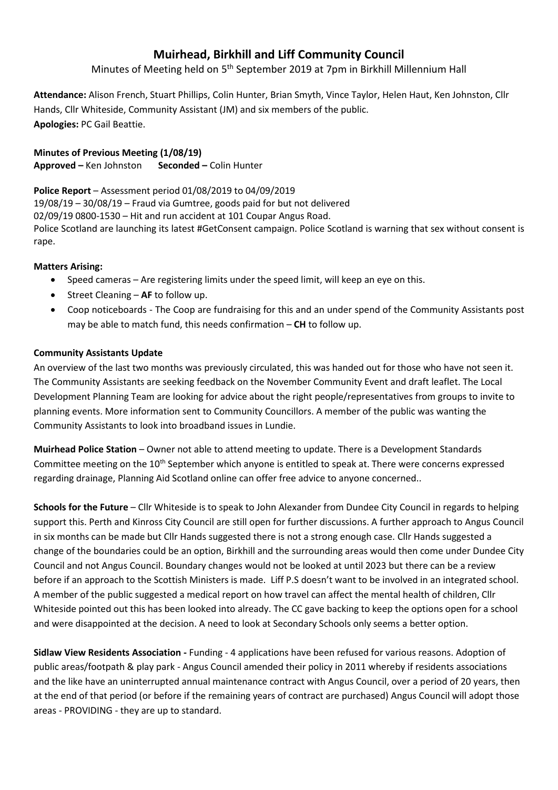# **Muirhead, Birkhill and Liff Community Council**

Minutes of Meeting held on 5<sup>th</sup> September 2019 at 7pm in Birkhill Millennium Hall

**Attendance:** Alison French, Stuart Phillips, Colin Hunter, Brian Smyth, Vince Taylor, Helen Haut, Ken Johnston, Cllr Hands, Cllr Whiteside, Community Assistant (JM) and six members of the public. **Apologies:** PC Gail Beattie.

# **Minutes of Previous Meeting (1/08/19)**

**Approved –** Ken Johnston **Seconded –** Colin Hunter

# **Police Report** – Assessment period 01/08/2019 to 04/09/2019

19/08/19 – 30/08/19 – Fraud via Gumtree, goods paid for but not delivered

02/09/19 0800-1530 – Hit and run accident at 101 Coupar Angus Road.

Police Scotland are launching its latest #GetConsent campaign. Police Scotland is warning that sex without consent is rape.

# **Matters Arising:**

- Speed cameras Are registering limits under the speed limit, will keep an eye on this.
- **•** Street Cleaning **AF** to follow up.
- Coop noticeboards The Coop are fundraising for this and an under spend of the Community Assistants post may be able to match fund, this needs confirmation – **CH** to follow up.

# **Community Assistants Update**

An overview of the last two months was previously circulated, this was handed out for those who have not seen it. The Community Assistants are seeking feedback on the November Community Event and draft leaflet. The Local Development Planning Team are looking for advice about the right people/representatives from groups to invite to planning events. More information sent to Community Councillors. A member of the public was wanting the Community Assistants to look into broadband issues in Lundie.

**Muirhead Police Station** – Owner not able to attend meeting to update. There is a Development Standards Committee meeting on the 10<sup>th</sup> September which anyone is entitled to speak at. There were concerns expressed regarding drainage, Planning Aid Scotland online can offer free advice to anyone concerned..

**Schools for the Future** – Cllr Whiteside is to speak to John Alexander from Dundee City Council in regards to helping support this. Perth and Kinross City Council are still open for further discussions. A further approach to Angus Council in six months can be made but Cllr Hands suggested there is not a strong enough case. Cllr Hands suggested a change of the boundaries could be an option, Birkhill and the surrounding areas would then come under Dundee City Council and not Angus Council. Boundary changes would not be looked at until 2023 but there can be a review before if an approach to the Scottish Ministers is made. Liff P.S doesn't want to be involved in an integrated school. A member of the public suggested a medical report on how travel can affect the mental health of children, Cllr Whiteside pointed out this has been looked into already. The CC gave backing to keep the options open for a school and were disappointed at the decision. A need to look at Secondary Schools only seems a better option.

**Sidlaw View Residents Association -** Funding - 4 applications have been refused for various reasons. Adoption of public areas/footpath & play park - Angus Council amended their policy in 2011 whereby if residents associations and the like have an uninterrupted annual maintenance contract with Angus Council, over a period of 20 years, then at the end of that period (or before if the remaining years of contract are purchased) Angus Council will adopt those areas - PROVIDING - they are up to standard.